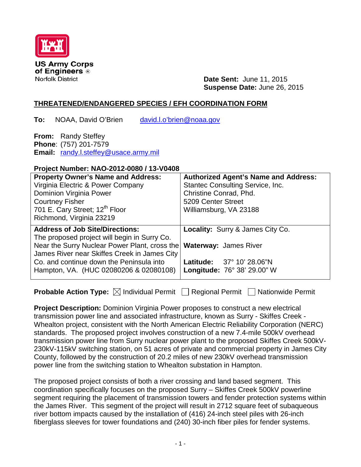

**US Army Corps** of Engineers ® **Norfolk District** 

**Date Sent:** June 11, 2015 **Suspense Date:** June 26, 2015

## **THREATENED/ENDANGERED SPECIES / EFH COORDINATION FORM**

**To:** NOAA, David O'Brien [david.l.o'brien@noaa.gov](mailto:david.l.o)

**From:** Randy Steffey **Phone**: (757) 201-7579 **Email:** [randy.l.steffey@usace.army.mil](mailto:randy.l.steffey@usace.army.mil)

## **Project Number: NAO-2012-0080 / 13-V0408**

| <b>Property Owner's Name and Address:</b><br>Virginia Electric & Power Company<br>Dominion Virginia Power<br><b>Courtney Fisher</b><br>701 E. Cary Street; 12 <sup>th</sup> Floor<br>Richmond, Virginia 23219 | <b>Authorized Agent's Name and Address:</b><br><b>Stantec Consulting Service, Inc.</b><br>Christine Conrad, Phd.<br>5209 Center Street<br>Williamsburg, VA 23188 |
|---------------------------------------------------------------------------------------------------------------------------------------------------------------------------------------------------------------|------------------------------------------------------------------------------------------------------------------------------------------------------------------|
| <b>Address of Job Site/Directions:</b><br>The proposed project will begin in Surry Co.                                                                                                                        | <b>Locality: Surry &amp; James City Co.</b>                                                                                                                      |
| Near the Surry Nuclear Power Plant, cross the<br>James River near Skiffes Creek in James City<br>Co, and continue down the Peninsula into                                                                     | <b>Waterway: James River</b><br>Latitude: 37° 10' 28.06"N                                                                                                        |
| Hampton, VA. (HUC 02080206 & 02080108)                                                                                                                                                                        | <b>Longitude: 76° 38' 29.00" W</b>                                                                                                                               |

**Probable Action Type:**  $\boxtimes$  Individual Permit □ Regional Permit □ Nationwide Permit

**Project Description:** Dominion Virginia Power proposes to construct a new electrical transmission power line and associated infrastructure, known as Surry - Skiffes Creek - Whealton project, consistent with the North American Electric Reliability Corporation (NERC) standards. The proposed project involves construction of a new 7.4-mile 500kV overhead transmission power line from Surry nuclear power plant to the proposed Skiffes Creek 500kV-230kV-115kV switching station, on 51 acres of private and commercial property in James City County, followed by the construction of 20.2 miles of new 230kV overhead transmission power line from the switching station to Whealton substation in Hampton.

The proposed project consists of both a river crossing and land based segment. This coordination specifically focuses on the proposed Surry – Skiffes Creek 500kV powerline segment requiring the placement of transmission towers and fender protection systems within the James River. This segment of the project will result in 2712 square feet of subaqueous river bottom impacts caused by the installation of (416) 24-inch steel piles with 26-inch fiberglass sleeves for tower foundations and (240) 30-inch fiber piles for fender systems.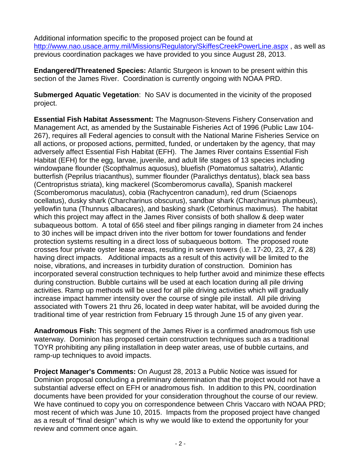Additional information specific to the proposed project can be found at <http://www.nao.usace.army.mil/Missions/Regulatory/SkiffesCreekPowerLine.aspx> , as well as previous coordination packages we have provided to you since August 28, 2013.

**Endangered/Threatened Species:** Atlantic Sturgeon is known to be present within this section of the James River. Coordination is currently ongoing with NOAA PRD.

**Submerged Aquatic Vegetation**: No SAV is documented in the vicinity of the proposed project.

**Essential Fish Habitat Assessment:** The Magnuson-Stevens Fishery Conservation and Management Act, as amended by the Sustainable Fisheries Act of 1996 (Public Law 104- 267), requires all Federal agencies to consult with the National Marine Fisheries Service on all actions, or proposed actions, permitted, funded, or undertaken by the agency, that may adversely affect Essential Fish Habitat (EFH). The James River contains Essential Fish Habitat (EFH) for the egg, larvae, juvenile, and adult life stages of 13 species including windowpane flounder (Scopthalmus aquosus), bluefish (Pomatomus saltatrix), Atlantic butterfish (Peprilus triacanthus), summer flounder (Paralicthys dentatus), black sea bass (Centropristus striata), king mackerel (Scomberomorus cavalla), Spanish mackerel (Scomberomorus maculatus), cobia (Rachycentron canadum), red drum (Sciaenops ocellatus), dusky shark (Charcharinus obscurus), sandbar shark (Charcharinus plumbeus), yellowfin tuna (Thunnus albacares), and basking shark (Cetorhinus maximus). The habitat which this project may affect in the James River consists of both shallow & deep water subaqueous bottom. A total of 656 steel and fiber pilings ranging in diameter from 24 inches to 30 inches will be impact driven into the river bottom for tower foundations and fender protection systems resulting in a direct loss of subaqueous bottom. The proposed route crosses four private oyster lease areas, resulting in seven towers (i.e. 17-20, 23, 27, & 28) having direct impacts. Additional impacts as a result of this activity will be limited to the noise, vibrations, and increases in turbidity duration of construction. Dominion has incorporated several construction techniques to help further avoid and minimize these effects during construction. Bubble curtains will be used at each location during all pile driving activities. Ramp up methods will be used for all pile driving activities which will gradually increase impact hammer intensity over the course of single pile install. All pile driving associated with Towers 21 thru 26, located in deep water habitat, will be avoided during the traditional time of year restriction from February 15 through June 15 of any given year.

**Anadromous Fish:** This segment of the James River is a confirmed anadromous fish use waterway. Dominion has proposed certain construction techniques such as a traditional TOYR prohibiting any piling installation in deep water areas, use of bubble curtains, and ramp-up techniques to avoid impacts.

**Project Manager's Comments:** On August 28, 2013 a Public Notice was issued for Dominion proposal concluding a preliminary determination that the project would not have a substantial adverse effect on EFH or anadromous fish. In addition to this PN, coordination documents have been provided for your consideration throughout the course of our review. We have continued to copy you on correspondence between Chris Vaccaro with NOAA PRD; most recent of which was June 10, 2015. Impacts from the proposed project have changed as a result of "final design" which is why we would like to extend the opportunity for your review and comment once again.